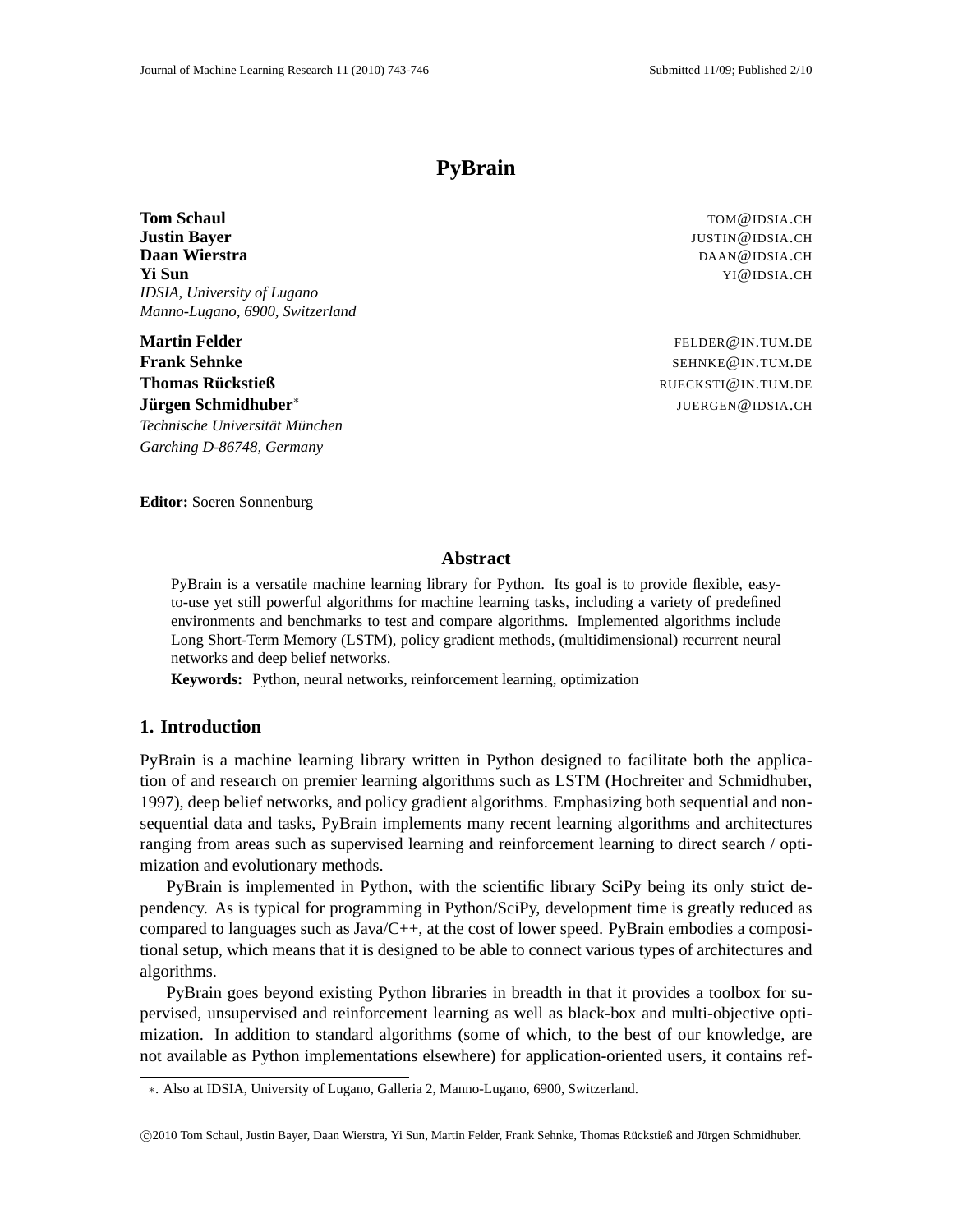# **PyBrain**

**Tom Schaul** TOM **Chaul** TOM **Chaul** TOM **Chaul** TOM **Chaul** TOM **Chaul** TOM **Chaul** TOM **Chaul** TOM **Chaul** TOM **Chaul** TOM **Chaul** TOM **Chaul** TOM **Chaul** TOM **Chaul** TOM **Chaul** TOM **Chaul** TOM **Chaul** TOM **Chaul** TOM **Justin Bayer** JUSTIN @IDSIA.CH **Daan Wierstra** DAAN@IDSIA.CH **Yi Sun** YI@IDSIA.CH *IDSIA, University of Lugano Manno-Lugano, 6900, Switzerland*

**Martin Felder** FELDER **CONSERVERS FELDER CONSERVERS FELDER CONSERVERS FELDER CONSERVERS Frank Sehnke** Settlement and the settlement of the settlement of the settlement of the settlement of the settlement of the settlement of the settlement of the settlement of the settlement of the settlement of the settleme **Thomas Ruckstieß ¨** RUECKSTI@IN.TUM.DE **Jurgen Schmidhuber ¨** ∗  $Technische University$  *Universität München Garching D-86748, Germany*

JUERGEN@IDSIA.CH

**Editor:** Soeren Sonnenburg

#### **Abstract**

PyBrain is a versatile machine learning library for Python. Its goal is to provide flexible, easyto-use yet still powerful algorithms for machine learning tasks, including a variety of predefined environments and benchmarks to test and compare algorithms. Implemented algorithms include Long Short-Term Memory (LSTM), policy gradient methods, (multidimensional) recurrent neural networks and deep belief networks.

**Keywords:** Python, neural networks, reinforcement learning, optimization

# **1. Introduction**

PyBrain is a machine learning library written in Python designed to facilitate both the application of and research on premier learning algorithms such as LSTM (Hochreiter and Schmidhuber, 1997), deep belief networks, and policy gradient algorithms. Emphasizing both sequential and nonsequential data and tasks, PyBrain implements many recent learning algorithms and architectures ranging from areas such as supervised learning and reinforcement learning to direct search / optimization and evolutionary methods.

PyBrain is implemented in Python, with the scientific library SciPy being its only strict dependency. As is typical for programming in Python/SciPy, development time is greatly reduced as compared to languages such as Java/C++, at the cost of lower speed. PyBrain embodies a compositional setup, which means that it is designed to be able to connect various types of architectures and algorithms.

PyBrain goes beyond existing Python libraries in breadth in that it provides a toolbox for supervised, unsupervised and reinforcement learning as well as black-box and multi-objective optimization. In addition to standard algorithms (some of which, to the best of our knowledge, are not available as Python implementations elsewhere) for application-oriented users, it contains ref-

<sup>∗</sup>. Also at IDSIA, University of Lugano, Galleria 2, Manno-Lugano, 6900, Switzerland.

<sup>©2010</sup> Tom Schaul, Justin Bayer, Daan Wierstra, Yi Sun, Martin Felder, Frank Sehnke, Thomas Rückstieß and Jürgen Schmidhuber.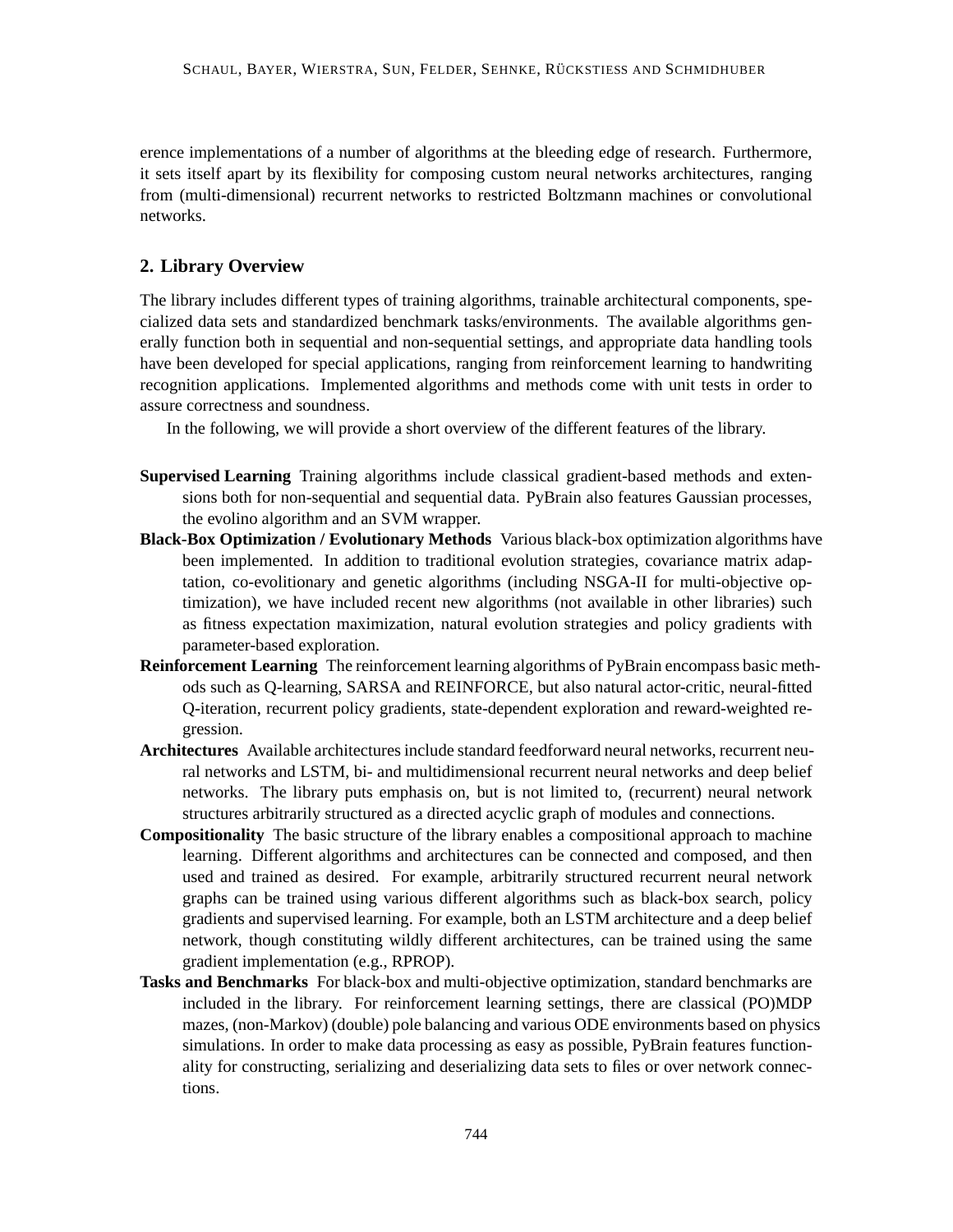erence implementations of a number of algorithms at the bleeding edge of research. Furthermore, it sets itself apart by its flexibility for composing custom neural networks architectures, ranging from (multi-dimensional) recurrent networks to restricted Boltzmann machines or convolutional networks.

# **2. Library Overview**

The library includes different types of training algorithms, trainable architectural components, specialized data sets and standardized benchmark tasks/environments. The available algorithms generally function both in sequential and non-sequential settings, and appropriate data handling tools have been developed for special applications, ranging from reinforcement learning to handwriting recognition applications. Implemented algorithms and methods come with unit tests in order to assure correctness and soundness.

In the following, we will provide a short overview of the different features of the library.

- **Supervised Learning** Training algorithms include classical gradient-based methods and extensions both for non-sequential and sequential data. PyBrain also features Gaussian processes, the evolino algorithm and an SVM wrapper.
- **Black-Box Optimization / Evolutionary Methods** Various black-box optimization algorithms have been implemented. In addition to traditional evolution strategies, covariance matrix adaptation, co-evolitionary and genetic algorithms (including NSGA-II for multi-objective optimization), we have included recent new algorithms (not available in other libraries) such as fitness expectation maximization, natural evolution strategies and policy gradients with parameter-based exploration.
- **Reinforcement Learning** The reinforcement learning algorithms of PyBrain encompass basic methods such as Q-learning, SARSA and REINFORCE, but also natural actor-critic, neural-fitted Q-iteration, recurrent policy gradients, state-dependent exploration and reward-weighted regression.
- **Architectures** Available architectures include standard feedforward neural networks, recurrent neural networks and LSTM, bi- and multidimensional recurrent neural networks and deep belief networks. The library puts emphasis on, but is not limited to, (recurrent) neural network structures arbitrarily structured as a directed acyclic graph of modules and connections.
- **Compositionality** The basic structure of the library enables a compositional approach to machine learning. Different algorithms and architectures can be connected and composed, and then used and trained as desired. For example, arbitrarily structured recurrent neural network graphs can be trained using various different algorithms such as black-box search, policy gradients and supervised learning. For example, both an LSTM architecture and a deep belief network, though constituting wildly different architectures, can be trained using the same gradient implementation (e.g., RPROP).
- **Tasks and Benchmarks** For black-box and multi-objective optimization, standard benchmarks are included in the library. For reinforcement learning settings, there are classical (PO)MDP mazes, (non-Markov) (double) pole balancing and various ODE environments based on physics simulations. In order to make data processing as easy as possible, PyBrain features functionality for constructing, serializing and deserializing data sets to files or over network connections.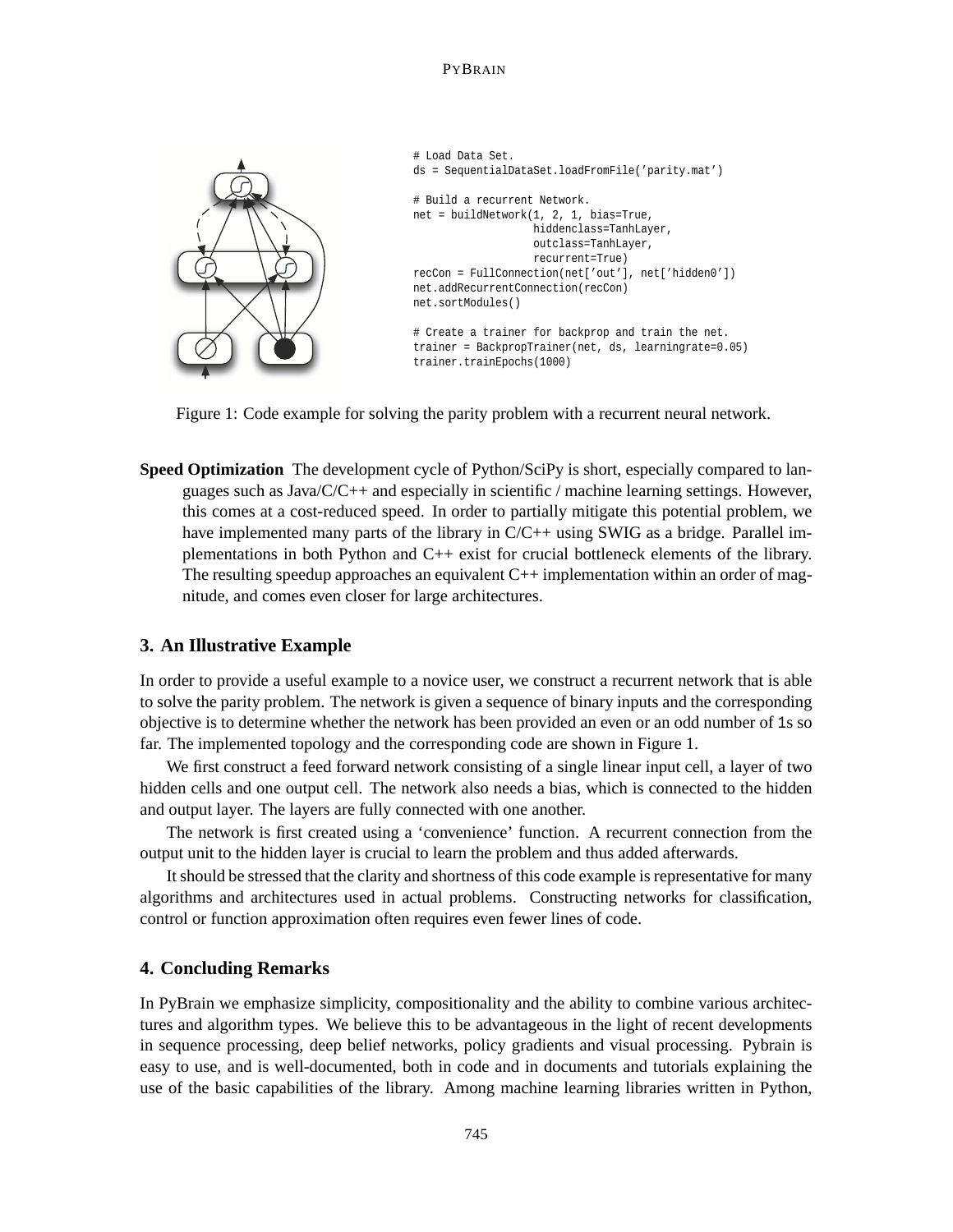#### PYBRAIN



Figure 1: Code example for solving the parity problem with a recurrent neural network.

**Speed Optimization** The development cycle of Python/SciPy is short, especially compared to languages such as  $Java/C/C++$  and especially in scientific / machine learning settings. However, this comes at a cost-reduced speed. In order to partially mitigate this potential problem, we have implemented many parts of the library in  $C/C++$  using SWIG as a bridge. Parallel implementations in both Python and C++ exist for crucial bottleneck elements of the library. The resulting speedup approaches an equivalent C++ implementation within an order of magnitude, and comes even closer for large architectures.

#### **3. An Illustrative Example**

In order to provide a useful example to a novice user, we construct a recurrent network that is able to solve the parity problem. The network is given a sequence of binary inputs and the corresponding objective is to determine whether the network has been provided an even or an odd number of 1s so far. The implemented topology and the corresponding code are shown in Figure 1.

We first construct a feed forward network consisting of a single linear input cell, a layer of two hidden cells and one output cell. The network also needs a bias, which is connected to the hidden and output layer. The layers are fully connected with one another.

The network is first created using a 'convenience' function. A recurrent connection from the output unit to the hidden layer is crucial to learn the problem and thus added afterwards.

It should be stressed that the clarity and shortness of this code example is representative for many algorithms and architectures used in actual problems. Constructing networks for classification, control or function approximation often requires even fewer lines of code.

#### **4. Concluding Remarks**

In PyBrain we emphasize simplicity, compositionality and the ability to combine various architectures and algorithm types. We believe this to be advantageous in the light of recent developments in sequence processing, deep belief networks, policy gradients and visual processing. Pybrain is easy to use, and is well-documented, both in code and in documents and tutorials explaining the use of the basic capabilities of the library. Among machine learning libraries written in Python,